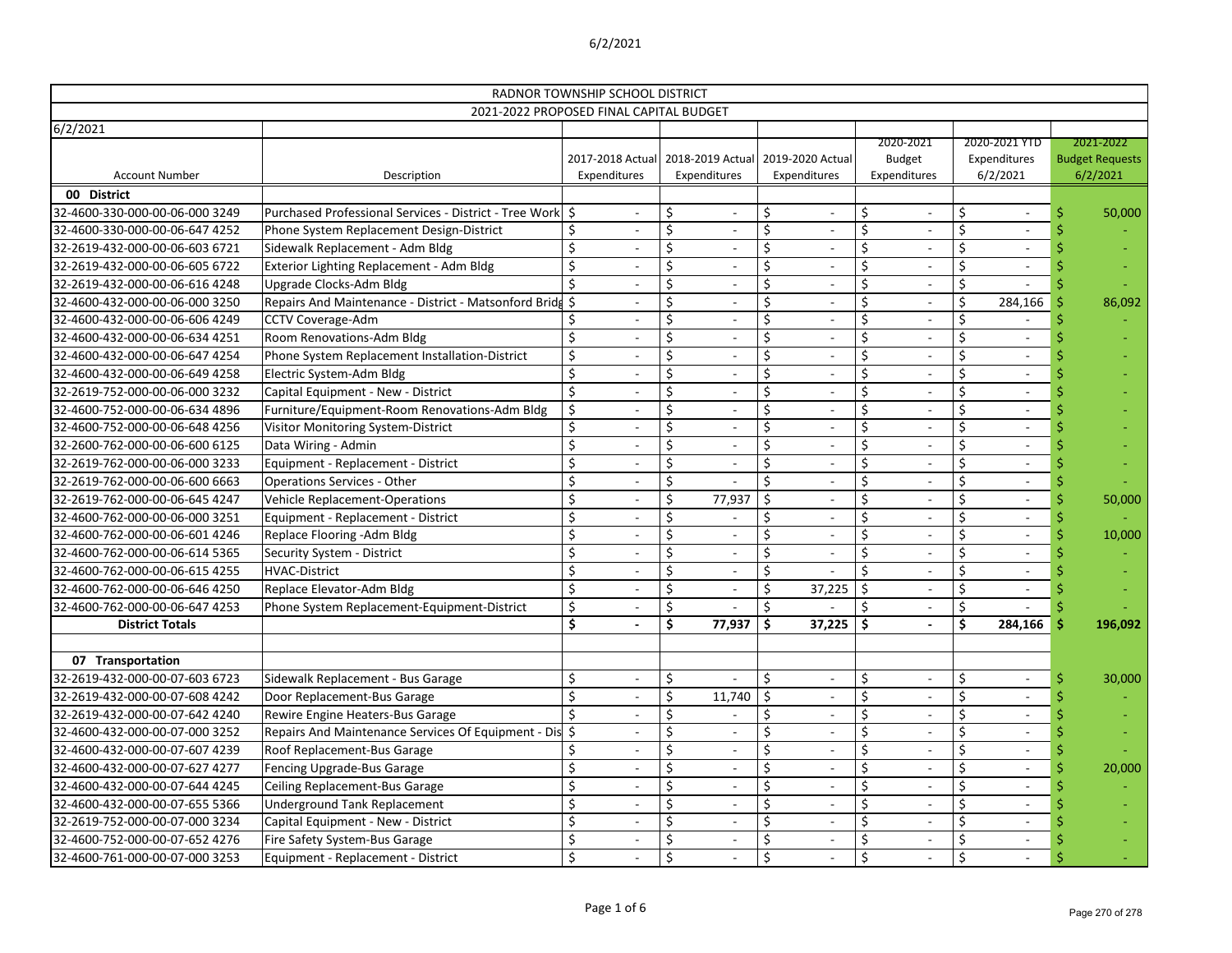|                                |                                                                            | RADNOR TOWNSHIP SCHOOL DISTRICT |                                   |                  |                              |         |                               |          |                                                      |   |                                    |
|--------------------------------|----------------------------------------------------------------------------|---------------------------------|-----------------------------------|------------------|------------------------------|---------|-------------------------------|----------|------------------------------------------------------|---|------------------------------------|
|                                | 2021-2022 PROPOSED FINAL CAPITAL BUDGET                                    |                                 |                                   |                  |                              |         |                               |          |                                                      |   |                                    |
| 6/2/2021                       |                                                                            |                                 |                                   |                  |                              |         |                               |          |                                                      |   |                                    |
|                                |                                                                            |                                 | 2017-2018 Actual 2018-2019 Actual | 2019-2020 Actual |                              |         | 2020-2021                     |          | 2020-2021 YTD<br>Expenditures                        |   | 2021-2022                          |
| <b>Account Number</b>          | Description                                                                | Expenditures                    | Expenditures                      | Expenditures     |                              |         | <b>Budget</b><br>Expenditures |          | 6/2/2021                                             |   | <b>Budget Requests</b><br>6/2/2021 |
| 00 District                    |                                                                            |                                 |                                   |                  |                              |         |                               |          |                                                      |   |                                    |
| 32-4600-330-000-00-06-000 3249 | Purchased Professional Services - District - Tree Work \$                  | $\overline{\phantom{a}}$        | \$                                | \$               | $\overline{\phantom{0}}$     | \$      |                               | $\zeta$  | $\overline{\phantom{a}}$                             |   | 50,000                             |
| 32-4600-330-000-00-06-647 4252 | Phone System Replacement Design-District                                   |                                 | \$                                | Ś                |                              | \$      |                               | $\zeta$  |                                                      |   |                                    |
| 32-2619-432-000-00-06-603 6721 | Sidewalk Replacement - Adm Bldg                                            | Ś                               | \$                                | Ś                | $\qquad \qquad \blacksquare$ | \$      |                               | \$       | $\overline{\phantom{a}}$                             |   |                                    |
| 32-2619-432-000-00-06-605 6722 | Exterior Lighting Replacement - Adm Bldg                                   | \$                              | \$                                | \$               | $\overline{\phantom{0}}$     | \$      |                               | \$       |                                                      |   |                                    |
| 32-2619-432-000-00-06-616 4248 | Upgrade Clocks-Adm Bldg                                                    | \$                              | \$                                | \$               |                              | \$      |                               | \$       |                                                      |   |                                    |
| 32-4600-432-000-00-06-000 3250 | Repairs And Maintenance - District - Matsonford Bridg \$                   | $\overline{\phantom{0}}$        |                                   |                  | $\overline{\phantom{0}}$     | \$      |                               | \$       | 284,166                                              |   | 86,092                             |
| 32-4600-432-000-00-06-606 4249 | CCTV Coverage-Adm                                                          |                                 | \$                                | \$               |                              | \$      |                               | \$       |                                                      |   |                                    |
| 32-4600-432-000-00-06-634 4251 | Room Renovations-Adm Bldg                                                  | \$                              | \$                                | Ś.               |                              | \$      |                               | \$       |                                                      |   |                                    |
| 32-4600-432-000-00-06-647 4254 |                                                                            | \$                              |                                   | \$               | $\overline{\phantom{0}}$     | \$      |                               | \$       | $\overline{\phantom{a}}$<br>$\overline{\phantom{a}}$ |   |                                    |
| 32-4600-432-000-00-06-649 4258 | Phone System Replacement Installation-District<br>Electric System-Adm Bldg | \$                              | \$                                | \$               |                              | \$      |                               | \$       |                                                      |   |                                    |
| 32-2619-752-000-00-06-000 3232 |                                                                            | \$                              |                                   |                  |                              | \$      |                               | \$       |                                                      |   |                                    |
|                                | Capital Equipment - New - District                                         |                                 |                                   | \$               |                              |         |                               |          | $\blacksquare$                                       |   |                                    |
| 32-4600-752-000-00-06-634 4896 | Furniture/Equipment-Room Renovations-Adm Bldg                              | \$<br>\$                        | \$                                |                  |                              | \$      |                               | \$<br>\$ |                                                      |   |                                    |
| 32-4600-752-000-00-06-648 4256 | Visitor Monitoring System-District                                         |                                 | \$                                | Ś.               | $\overline{\phantom{0}}$     | \$      |                               |          | $\overline{\phantom{a}}$                             |   |                                    |
| 32-2600-762-000-00-06-600 6125 | Data Wiring - Admin                                                        | \$<br>Ś                         |                                   | \$               |                              | \$      |                               | \$       | $\overline{\phantom{a}}$                             |   |                                    |
| 32-2619-762-000-00-06-000 3233 | Equipment - Replacement - District                                         |                                 | \$                                | \$               |                              | \$      |                               | \$       |                                                      |   |                                    |
| 32-2619-762-000-00-06-600 6663 | <b>Operations Services - Other</b>                                         | \$                              |                                   |                  |                              | \$      |                               | \$       |                                                      |   |                                    |
| 32-2619-762-000-00-06-645 4247 | <b>Vehicle Replacement-Operations</b>                                      | \$                              | \$<br>77,937                      | \$               |                              | \$      |                               | \$       |                                                      |   | 50,000                             |
| 32-4600-762-000-00-06-000 3251 | Equipment - Replacement - District                                         | Ś                               | \$                                | Ś                | $\overline{\phantom{0}}$     | \$      |                               | \$       | $\overline{\phantom{a}}$                             |   |                                    |
| 32-4600-762-000-00-06-601 4246 | Replace Flooring - Adm Bldg                                                | \$                              |                                   | \$               |                              | $\zeta$ |                               | \$       |                                                      |   | 10,000                             |
| 32-4600-762-000-00-06-614 5365 | Security System - District                                                 | Ś                               | \$                                |                  |                              | \$      |                               | \$       |                                                      |   |                                    |
| 32-4600-762-000-00-06-615 4255 | <b>HVAC-District</b>                                                       | \$                              | \$                                | \$               |                              | \$      |                               | \$       |                                                      |   |                                    |
| 32-4600-762-000-00-06-646 4250 | Replace Elevator-Adm Bldg                                                  | \$                              | \$                                | \$               | 37,225                       | \$      |                               | \$       |                                                      |   |                                    |
| 32-4600-762-000-00-06-647 4253 | Phone System Replacement-Equipment-District                                | \$                              | \$                                | Ś                |                              | \$      |                               | \$       |                                                      |   |                                    |
| <b>District Totals</b>         |                                                                            | \$                              | \$<br>77,937                      | \$               | 37,225                       | \$      |                               | \$       | 284,166                                              |   | 196,092                            |
|                                |                                                                            |                                 |                                   |                  |                              |         |                               |          |                                                      |   |                                    |
| 07 Transportation              |                                                                            |                                 |                                   |                  |                              |         |                               |          |                                                      |   |                                    |
| 32-2619-432-000-00-07-603 6723 | Sidewalk Replacement - Bus Garage                                          | \$                              | \$                                | \$               | $\qquad \qquad \blacksquare$ | \$      |                               | \$       | $\overline{\phantom{a}}$                             | Ŝ | 30,000                             |
| 32-2619-432-000-00-07-608 4242 | Door Replacement-Bus Garage                                                | \$<br>$\overline{\phantom{a}}$  | \$<br>11,740                      | \$               | $\overline{\phantom{a}}$     | \$      |                               | \$       | $\overline{\phantom{a}}$                             |   |                                    |
| 32-2619-432-000-00-07-642 4240 | Rewire Engine Heaters-Bus Garage                                           | \$<br>$\qquad \qquad -$         |                                   | \$,              | $\qquad \qquad \blacksquare$ | \$      |                               | \$       | $\overline{\phantom{a}}$                             |   |                                    |
| 32-4600-432-000-00-07-000 3252 | Repairs And Maintenance Services Of Equipment - Dis \$                     | $\overline{\phantom{a}}$        | \$                                | \$               | $\qquad \qquad \blacksquare$ | \$      |                               | \$       | $\overline{\phantom{a}}$                             |   |                                    |
| 32-4600-432-000-00-07-607 4239 | Roof Replacement-Bus Garage                                                | $\qquad \qquad -$               | \$                                | \$               | $\qquad \qquad \blacksquare$ | \$      |                               | \$       | $\overline{\phantom{a}}$                             |   |                                    |
| 32-4600-432-000-00-07-627 4277 | Fencing Upgrade-Bus Garage                                                 | \$                              | \$                                | \$               |                              | \$      |                               | \$       | $\overline{\phantom{a}}$                             |   | 20,000                             |
| 32-4600-432-000-00-07-644 4245 | Ceiling Replacement-Bus Garage                                             | \$<br>$\overline{\phantom{a}}$  | \$                                | \$               | $\overline{\phantom{a}}$     | \$      |                               | $\zeta$  | $\overline{\phantom{a}}$                             |   |                                    |
| 32-4600-432-000-00-07-655 5366 | <b>Underground Tank Replacement</b>                                        | \$<br>$\overline{\phantom{a}}$  |                                   | $\zeta$          | $\overline{\phantom{0}}$     | \$      |                               | \$       | $\overline{\phantom{a}}$                             |   |                                    |
| 32-2619-752-000-00-07-000 3234 | Capital Equipment - New - District                                         | \$<br>$\overline{a}$            | \$                                |                  | $\qquad \qquad \blacksquare$ | \$      |                               | \$       | $\overline{\phantom{a}}$                             |   |                                    |
| 32-4600-752-000-00-07-652 4276 | Fire Safety System-Bus Garage                                              | \$<br>$\overline{\phantom{a}}$  | \$                                | \$               | $\qquad \qquad \blacksquare$ | \$      |                               | \$       | $\overline{\phantom{a}}$                             |   |                                    |
| 32-4600-761-000-00-07-000 3253 | Equipment - Replacement - District                                         | \$                              | $\zeta$                           | \$               |                              | \$      |                               | \$       |                                                      |   |                                    |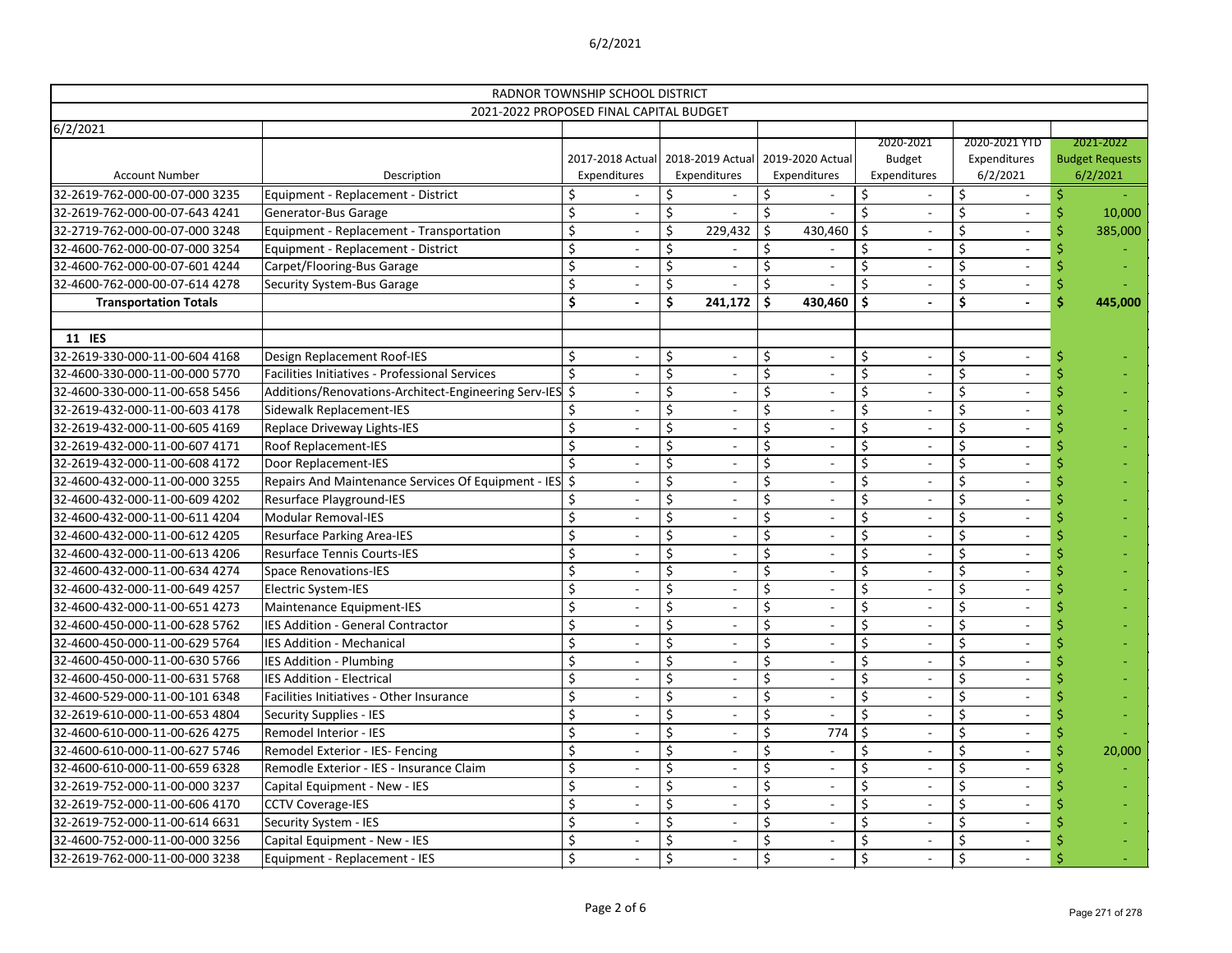|                                   | RADNOR TOWNSHIP SCHOOL DISTRICT<br>2021-2022 PROPOSED FINAL CAPITAL BUDGET |                    |                          |                                                   |    |                                  |    |                                            |         |                                           |                                                 |
|-----------------------------------|----------------------------------------------------------------------------|--------------------|--------------------------|---------------------------------------------------|----|----------------------------------|----|--------------------------------------------|---------|-------------------------------------------|-------------------------------------------------|
| 6/2/2021<br><b>Account Number</b> | Description                                                                | Expenditures       |                          | 2017-2018 Actual 2018-2019 Actual<br>Expenditures |    | 2019-2020 Actual<br>Expenditures |    | 2020-2021<br><b>Budget</b><br>Expenditures |         | 2020-2021 YTD<br>Expenditures<br>6/2/2021 | 2021-2022<br><b>Budget Requests</b><br>6/2/2021 |
| 32-2619-762-000-00-07-000 3235    | Equipment - Replacement - District                                         |                    |                          |                                                   |    |                                  |    |                                            | \$      |                                           |                                                 |
| 32-2619-762-000-00-07-643 4241    | Generator-Bus Garage                                                       | \$                 | $\overline{\phantom{a}}$ | \$                                                | Ś. |                                  | \$ |                                            | $\zeta$ |                                           | 10,000                                          |
| 32-2719-762-000-00-07-000 3248    | Equipment - Replacement - Transportation                                   | $\zeta$            | $\overline{\phantom{0}}$ | \$<br>229,432                                     |    | 430,460                          | Ś  |                                            |         |                                           | 385,000                                         |
| 32-4600-762-000-00-07-000 3254    | Equipment - Replacement - District                                         | \$                 |                          | \$                                                |    |                                  | \$ |                                            |         |                                           |                                                 |
| 32-4600-762-000-00-07-601 4244    | Carpet/Flooring-Bus Garage                                                 | \$                 |                          | \$                                                |    |                                  | \$ |                                            | \$      |                                           |                                                 |
| 32-4600-762-000-00-07-614 4278    | <b>Security System-Bus Garage</b>                                          | \$                 |                          |                                                   |    |                                  | Ś. |                                            |         | $\overline{\phantom{a}}$                  |                                                 |
| <b>Transportation Totals</b>      |                                                                            | \$                 | $\overline{\phantom{a}}$ | \$<br>241,172                                     | Ŝ. | 430,460                          | \$ |                                            | \$      |                                           | 445,000                                         |
| 11 IES                            |                                                                            |                    |                          |                                                   |    |                                  |    |                                            |         |                                           |                                                 |
| 32-2619-330-000-11-00-604 4168    | Design Replacement Roof-IES                                                | \$                 |                          | \$                                                | \$ |                                  | \$ |                                            | \$      |                                           |                                                 |
| 32-4600-330-000-11-00-000 5770    | Facilities Initiatives - Professional Services                             | \$                 |                          |                                                   |    |                                  | \$ |                                            | Ś       |                                           |                                                 |
| 32-4600-330-000-11-00-658 5456    | Additions/Renovations-Architect-Engineering Serv-IES \$                    |                    | $\overline{\phantom{a}}$ | $\overline{\phantom{a}}$                          |    |                                  | \$ |                                            |         |                                           |                                                 |
| 32-2619-432-000-11-00-603 4178    | Sidewalk Replacement-IES                                                   | \$                 | $\overline{\phantom{a}}$ | \$<br>$\overline{\phantom{a}}$                    |    |                                  | \$ |                                            | \$      |                                           |                                                 |
| 32-2619-432-000-11-00-605 4169    | Replace Driveway Lights-IES                                                | \$                 |                          | \$                                                |    |                                  | \$ |                                            | Ś.      |                                           |                                                 |
| 32-2619-432-000-11-00-607 4171    | Roof Replacement-IES                                                       | \$                 |                          | \$                                                |    |                                  | \$ |                                            |         |                                           |                                                 |
| 32-2619-432-000-11-00-608 4172    | Door Replacement-IES                                                       | $\mathsf{\dot{S}}$ |                          |                                                   |    |                                  | \$ |                                            | Ś       | $\overline{\phantom{a}}$                  |                                                 |
| 32-4600-432-000-11-00-000 3255    | Repairs And Maintenance Services Of Equipment - IES \$                     |                    | $\overline{\phantom{a}}$ | $\overline{\phantom{a}}$                          |    |                                  | \$ |                                            |         |                                           |                                                 |
| 32-4600-432-000-11-00-609 4202    | Resurface Playground-IES                                                   | \$                 | $\overline{\phantom{a}}$ | \$<br>$\overline{\phantom{a}}$                    |    |                                  | Ś  |                                            | $\zeta$ |                                           |                                                 |
| 32-4600-432-000-11-00-611 4204    | <b>Modular Removal-IES</b>                                                 | \$                 |                          | \$                                                | Ś  |                                  | \$ |                                            | $\zeta$ |                                           |                                                 |
| 32-4600-432-000-11-00-612 4205    | <b>Resurface Parking Area-IES</b>                                          | \$                 |                          | \$                                                |    |                                  | \$ |                                            |         |                                           |                                                 |
| 32-4600-432-000-11-00-613 4206    | <b>Resurface Tennis Courts-IES</b>                                         | \$                 | $\overline{\phantom{a}}$ | \$                                                |    |                                  | \$ |                                            | Ś       | $\blacksquare$                            |                                                 |
| 32-4600-432-000-11-00-634 4274    | <b>Space Renovations-IES</b>                                               | \$                 | $\overline{a}$           | \$<br>$\overline{\phantom{a}}$                    |    |                                  | \$ |                                            |         |                                           |                                                 |
| 32-4600-432-000-11-00-649 4257    | Electric System-IES                                                        | \$                 | $\overline{\phantom{0}}$ | \$                                                |    |                                  | Ś  |                                            | \$      |                                           |                                                 |
| 32-4600-432-000-11-00-651 4273    | Maintenance Equipment-IES                                                  | \$                 |                          | \$                                                |    |                                  | \$ |                                            | \$      |                                           |                                                 |
| 32-4600-450-000-11-00-628 5762    | <b>IES Addition - General Contractor</b>                                   | \$                 |                          | \$                                                | \$ |                                  | \$ |                                            |         |                                           |                                                 |
| 32-4600-450-000-11-00-629 5764    | <b>IES Addition - Mechanical</b>                                           | \$                 | $\overline{\phantom{a}}$ | \$<br>$\overline{\phantom{a}}$                    | \$ |                                  | \$ |                                            | \$      | $\overline{\phantom{a}}$                  |                                                 |
| 32-4600-450-000-11-00-630 5766    | IES Addition - Plumbing                                                    | \$                 |                          | $\overline{\phantom{a}}$                          |    |                                  |    |                                            |         |                                           |                                                 |
| 32-4600-450-000-11-00-631 5768    | IES Addition - Electrical                                                  | $\zeta$            | $\overline{\phantom{a}}$ | $\overline{\phantom{a}}$                          |    |                                  |    |                                            |         | $\overline{\phantom{a}}$                  |                                                 |
| 32-4600-529-000-11-00-101 6348    | Facilities Initiatives - Other Insurance                                   | \$                 |                          |                                                   |    |                                  |    |                                            |         |                                           |                                                 |
| 32-2619-610-000-11-00-653 4804    | <b>Security Supplies - IES</b>                                             | \$                 |                          |                                                   |    |                                  |    |                                            |         |                                           |                                                 |
| 32-4600-610-000-11-00-626 4275    | Remodel Interior - IES                                                     | \$                 | $\overline{\phantom{a}}$ | $\overline{\phantom{a}}$                          |    | 774                              |    |                                            |         | $\overline{\phantom{a}}$                  |                                                 |
| 32-4600-610-000-11-00-627 5746    | Remodel Exterior - IES- Fencing                                            | \$                 | $\overline{\phantom{a}}$ | $\overline{\phantom{a}}$                          |    |                                  |    |                                            |         | $\overline{\phantom{a}}$                  | 20,000                                          |
| 32-4600-610-000-11-00-659 6328    | Remodle Exterior - IES - Insurance Claim                                   | \$                 | $\overline{\phantom{a}}$ | $\overline{\phantom{a}}$                          |    |                                  |    |                                            |         | $\overline{\phantom{a}}$                  |                                                 |
| 32-2619-752-000-11-00-000 3237    | Capital Equipment - New - IES                                              | \$                 |                          |                                                   |    |                                  |    |                                            |         |                                           |                                                 |
| 32-2619-752-000-11-00-606 4170    | <b>CCTV Coverage-IES</b>                                                   | \$                 |                          |                                                   |    |                                  |    |                                            |         |                                           |                                                 |
| 32-2619-752-000-11-00-614 6631    | Security System - IES                                                      | \$                 | $\overline{\phantom{a}}$ | $\overline{\phantom{a}}$                          |    |                                  |    |                                            |         | $\overline{\phantom{a}}$                  |                                                 |
| 32-4600-752-000-11-00-000 3256    | Capital Equipment - New - IES                                              | \$                 |                          | $\overline{\phantom{a}}$                          |    | $\overline{\phantom{a}}$         |    |                                            |         | $\overline{\phantom{a}}$                  |                                                 |
| 32-2619-762-000-11-00-000 3238    | Equipment - Replacement - IES                                              | \$                 |                          | \$                                                | \$ |                                  | \$ |                                            | \$      |                                           |                                                 |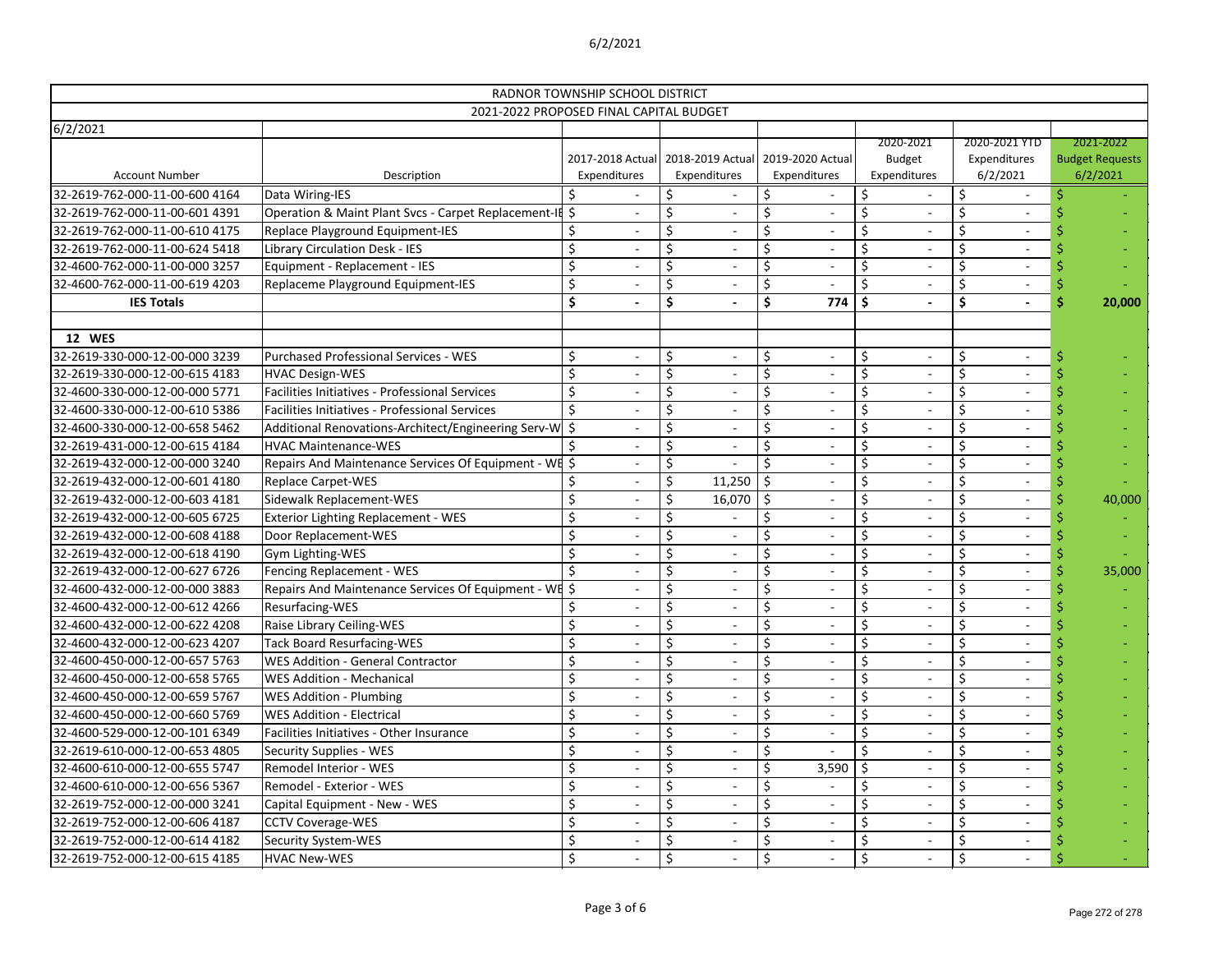|                                   |                                                         | RADNOR TOWNSHIP SCHOOL DISTRICT  |                                  |                                  |       |                                     |                                           |                                                 |
|-----------------------------------|---------------------------------------------------------|----------------------------------|----------------------------------|----------------------------------|-------|-------------------------------------|-------------------------------------------|-------------------------------------------------|
|                                   | 2021-2022 PROPOSED FINAL CAPITAL BUDGET                 |                                  |                                  |                                  |       |                                     |                                           |                                                 |
| 6/2/2021<br><b>Account Number</b> | Description                                             | 2017-2018 Actual<br>Expenditures | 2018-2019 Actual<br>Expenditures | 2019-2020 Actual<br>Expenditures |       | 2020-2021<br>Budget<br>Expenditures | 2020-2021 YTD<br>Expenditures<br>6/2/2021 | 2021-2022<br><b>Budget Requests</b><br>6/2/2021 |
| 32-2619-762-000-11-00-600 4164    | Data Wiring-IES                                         |                                  |                                  |                                  |       |                                     |                                           |                                                 |
| 32-2619-762-000-11-00-601 4391    | Operation & Maint Plant Svcs - Carpet Replacement-If \$ |                                  | \$<br>$\qquad \qquad -$          | \$                               |       | \$                                  | \$                                        |                                                 |
| 32-2619-762-000-11-00-610 4175    | Replace Playground Equipment-IES                        | \$                               | Ś<br>$\overline{\phantom{0}}$    |                                  |       | \$                                  | \$                                        |                                                 |
| 32-2619-762-000-11-00-624 5418    | <b>Library Circulation Desk - IES</b>                   | \$                               | \$                               | \$                               |       | \$                                  |                                           |                                                 |
| 32-4600-762-000-11-00-000 3257    | Equipment - Replacement - IES                           | $\zeta$                          | \$                               | \$                               |       | \$                                  | \$                                        |                                                 |
| 32-4600-762-000-11-00-619 4203    | Replaceme Playground Equipment-IES                      | \$                               | \$<br>$\qquad \qquad -$          |                                  |       |                                     | $\overline{\phantom{a}}$                  |                                                 |
| <b>IES Totals</b>                 |                                                         | $\dot{\mathsf{S}}$               | \$                               |                                  | 774   | $\mathsf{\hat{S}}$                  | \$<br>$\overline{\phantom{a}}$            | 20,000                                          |
| <b>12 WES</b>                     |                                                         |                                  |                                  |                                  |       |                                     |                                           |                                                 |
| 32-2619-330-000-12-00-000 3239    | Purchased Professional Services - WES                   | \$                               | \$<br>-                          | \$                               |       | \$                                  | \$                                        |                                                 |
| 32-2619-330-000-12-00-615 4183    | <b>HVAC Design-WES</b>                                  | \$                               | Ś<br>$\overline{\phantom{a}}$    |                                  |       |                                     | \$                                        |                                                 |
| 32-4600-330-000-12-00-000 5771    | Facilities Initiatives - Professional Services          | \$                               | \$<br>$\qquad \qquad -$          |                                  |       | \$                                  | $\overline{\phantom{a}}$                  |                                                 |
| 32-4600-330-000-12-00-610 5386    | Facilities Initiatives - Professional Services          | \$                               | \$<br>$\overline{\phantom{0}}$   |                                  |       | \$                                  | \$                                        |                                                 |
| 32-4600-330-000-12-00-658 5462    | Additional Renovations-Architect/Engineering Serv-W     | \$                               | \$                               | \$                               |       | \$                                  | \$                                        |                                                 |
| 32-2619-431-000-12-00-615 4184    | <b>HVAC Maintenance-WES</b>                             |                                  | \$                               | \$                               |       | \$                                  |                                           |                                                 |
| 32-2619-432-000-12-00-000 3240    | Repairs And Maintenance Services Of Equipment - WE \$   |                                  | \$                               |                                  |       |                                     | \$<br>$\overline{\phantom{a}}$            |                                                 |
| 32-2619-432-000-12-00-601 4180    | <b>Replace Carpet-WES</b>                               | \$                               | \$<br>11,250                     | Ś.                               |       | \$                                  | $\overline{\phantom{a}}$                  |                                                 |
| 32-2619-432-000-12-00-603 4181    | Sidewalk Replacement-WES                                | \$                               | Ś<br>16,070                      | \$                               |       | \$                                  | \$                                        | 40,000                                          |
| 32-2619-432-000-12-00-605 6725    | <b>Exterior Lighting Replacement - WES</b>              | \$                               | \$                               | \$                               |       | \$                                  | \$                                        |                                                 |
| 32-2619-432-000-12-00-608 4188    | Door Replacement-WES                                    | \$                               | \$                               |                                  |       | \$                                  |                                           |                                                 |
| 32-2619-432-000-12-00-618 4190    | Gym Lighting-WES                                        | $\zeta$                          | Ś<br>$\overline{a}$              |                                  |       | \$                                  | \$<br>$\overline{\phantom{a}}$            |                                                 |
| 32-2619-432-000-12-00-627 6726    | Fencing Replacement - WES                               | \$                               | \$<br>$\qquad \qquad -$          |                                  |       | \$                                  | $\overline{\phantom{a}}$                  | 35,000                                          |
| 32-4600-432-000-12-00-000 3883    | Repairs And Maintenance Services Of Equipment - WE \$   |                                  | Ś<br>$\overline{a}$              |                                  |       | \$                                  | \$                                        |                                                 |
| 32-4600-432-000-12-00-612 4266    | Resurfacing-WES                                         |                                  | \$                               |                                  |       | \$                                  | \$                                        |                                                 |
| 32-4600-432-000-12-00-622 4208    | Raise Library Ceiling-WES                               | \$                               |                                  |                                  |       | \$                                  |                                           |                                                 |
| 32-4600-432-000-12-00-623 4207    | <b>Tack Board Resurfacing-WES</b>                       | \$                               | \$<br>$\overline{\phantom{a}}$   | \$,                              |       | \$<br>$\overline{\phantom{a}}$      | \$<br>$\overline{\phantom{a}}$            |                                                 |
| 32-4600-450-000-12-00-657 5763    | <b>WES Addition - General Contractor</b>                | \$                               | $\overline{\phantom{a}}$         |                                  |       | \$                                  | $\overline{\phantom{a}}$                  |                                                 |
| 32-4600-450-000-12-00-658 5765    | <b>WES Addition - Mechanical</b>                        | \$                               | $\overline{\phantom{a}}$         |                                  |       |                                     |                                           |                                                 |
| 32-4600-450-000-12-00-659 5767    | <b>WES Addition - Plumbing</b>                          | \$                               | $\overline{\phantom{a}}$         |                                  |       |                                     |                                           |                                                 |
| 32-4600-450-000-12-00-660 5769    | <b>WES Addition - Electrical</b>                        | \$                               | $\qquad \qquad -$                |                                  |       |                                     |                                           |                                                 |
| 32-4600-529-000-12-00-101 6349    | Facilities Initiatives - Other Insurance                | \$                               | $\overline{\phantom{a}}$         |                                  |       |                                     | $\overline{\phantom{a}}$                  |                                                 |
| 32-2619-610-000-12-00-653 4805    | Security Supplies - WES                                 | \$                               | $\overline{\phantom{a}}$         |                                  |       | \$                                  | $\overline{\phantom{a}}$                  |                                                 |
| 32-4600-610-000-12-00-655 5747    | Remodel Interior - WES                                  | \$                               | $\overline{\phantom{a}}$         |                                  | 3,590 | -S                                  |                                           |                                                 |
| 32-4600-610-000-12-00-656 5367    | Remodel - Exterior - WES                                |                                  |                                  |                                  |       |                                     |                                           |                                                 |
| 32-2619-752-000-12-00-000 3241    | Capital Equipment - New - WES                           | \$                               |                                  |                                  |       |                                     |                                           |                                                 |
| 32-2619-752-000-12-00-606 4187    | <b>CCTV Coverage-WES</b>                                | \$                               | $\overline{\phantom{a}}$         |                                  |       |                                     | $\overline{\phantom{a}}$                  |                                                 |
| 32-2619-752-000-12-00-614 4182    | Security System-WES                                     | \$                               | $\overline{\phantom{a}}$         |                                  |       | \$                                  | \$<br>$\overline{\phantom{a}}$            |                                                 |
| 32-2619-752-000-12-00-615 4185    | <b>HVAC New-WES</b>                                     | \$                               | \$<br>$\overline{\phantom{a}}$   | \$                               |       | \$                                  | \$                                        |                                                 |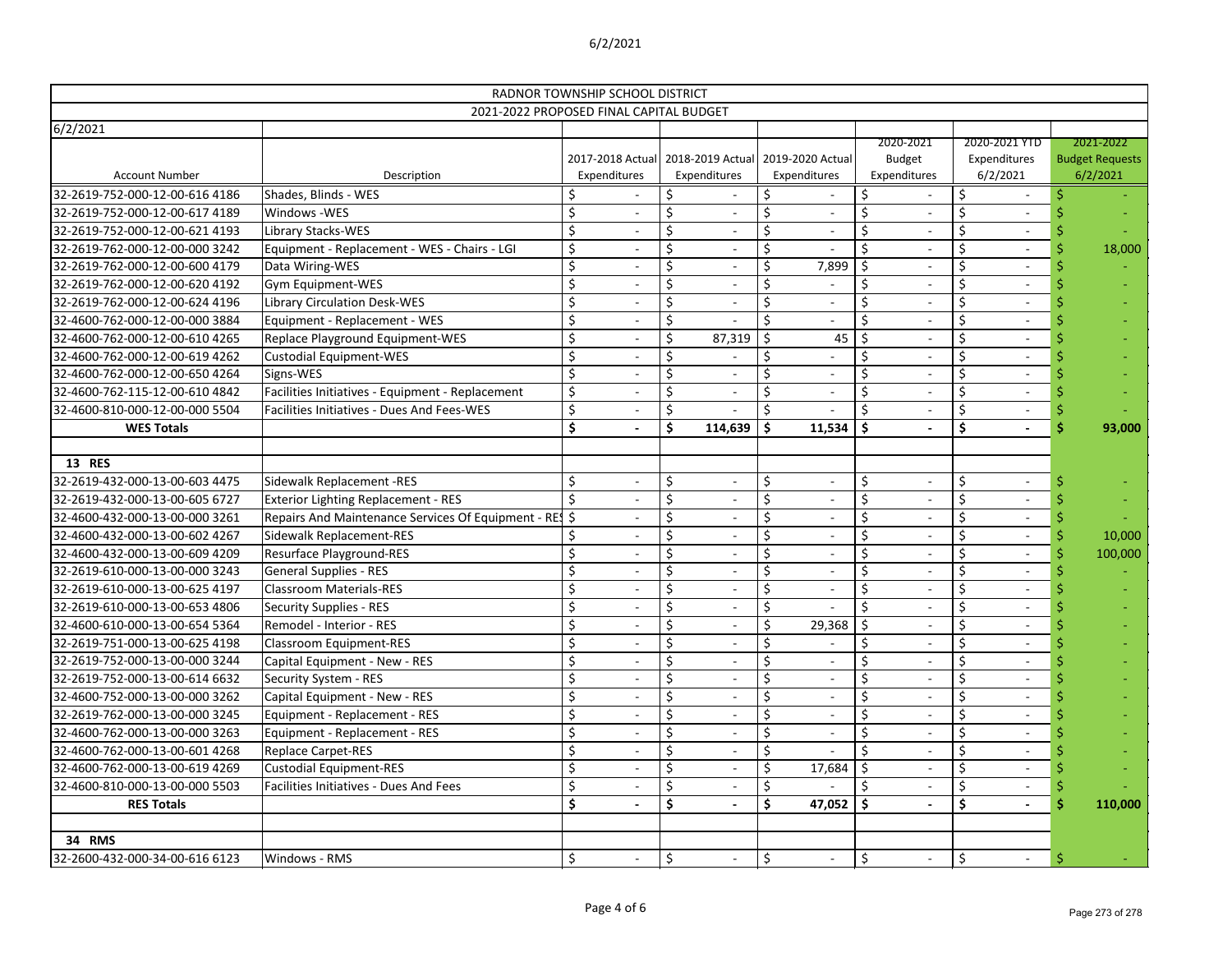|                                |                                                        | RADNOR TOWNSHIP SCHOOL DISTRICT |                          |    |                                   |                      |                  |     |                          |    |                          |                        |
|--------------------------------|--------------------------------------------------------|---------------------------------|--------------------------|----|-----------------------------------|----------------------|------------------|-----|--------------------------|----|--------------------------|------------------------|
|                                | 2021-2022 PROPOSED FINAL CAPITAL BUDGET                |                                 |                          |    |                                   |                      |                  |     |                          |    |                          |                        |
| 6/2/2021                       |                                                        |                                 |                          |    |                                   |                      |                  |     | 2020-2021                |    | 2020-2021 YTD            | 2021-2022              |
|                                |                                                        |                                 |                          |    | 2017-2018 Actual 2018-2019 Actual |                      | 2019-2020 Actual |     | <b>Budget</b>            |    | Expenditures             | <b>Budget Requests</b> |
| <b>Account Number</b>          | Description                                            |                                 | Expenditures             |    | Expenditures                      |                      | Expenditures     |     | Expenditures             |    | 6/2/2021                 | 6/2/2021               |
| 32-2619-752-000-12-00-616 4186 | Shades, Blinds - WES                                   |                                 |                          | S  |                                   |                      |                  |     |                          |    |                          |                        |
| 32-2619-752-000-12-00-617 4189 | Windows -WES                                           | \$                              |                          | \$ | $\overline{\phantom{a}}$          | $\zeta$              |                  | Ś.  |                          | \$ |                          |                        |
| 32-2619-752-000-12-00-621 4193 | Library Stacks-WES                                     | \$                              |                          | \$ |                                   |                      |                  |     |                          |    |                          |                        |
| 32-2619-762-000-12-00-000 3242 | Equipment - Replacement - WES - Chairs - LGI           | \$                              |                          | Ś  |                                   |                      |                  | Ś   |                          |    |                          | 18,000                 |
| 32-2619-762-000-12-00-600 4179 | Data Wiring-WES                                        | $\zeta$                         |                          | \$ |                                   | S                    | 7,899            | \$  |                          |    |                          |                        |
| 32-2619-762-000-12-00-620 4192 | Gym Equipment-WES                                      | $\zeta$                         |                          | \$ | $\overline{\phantom{a}}$          |                      |                  | \$  |                          |    |                          |                        |
| 32-2619-762-000-12-00-624 4196 | <b>Library Circulation Desk-WES</b>                    | \$                              |                          | \$ |                                   | S,                   |                  | Ś.  |                          |    |                          |                        |
| 32-4600-762-000-12-00-000 3884 | Equipment - Replacement - WES                          | \$                              |                          | \$ |                                   |                      |                  | Ś.  |                          |    |                          |                        |
| 32-4600-762-000-12-00-610 4265 | Replace Playground Equipment-WES                       | $\zeta$                         |                          | \$ | 87,319                            | Ś                    | 45               |     |                          |    |                          |                        |
| 32-4600-762-000-12-00-619 4262 | <b>Custodial Equipment-WES</b>                         | $\zeta$                         |                          | \$ |                                   |                      |                  | \$  |                          |    |                          |                        |
| 32-4600-762-000-12-00-650 4264 | Signs-WES                                              | $\zeta$                         |                          | \$ | $\overline{\phantom{a}}$          |                      |                  | \$  |                          |    |                          |                        |
| 32-4600-762-115-12-00-610 4842 | Facilities Initiatives - Equipment - Replacement       | \$                              |                          | \$ |                                   |                      |                  | Ś   |                          |    |                          |                        |
| 32-4600-810-000-12-00-000 5504 | Facilities Initiatives - Dues And Fees-WES             | $\zeta$                         |                          | \$ |                                   |                      |                  |     |                          |    |                          |                        |
| <b>WES Totals</b>              |                                                        | $\ddot{\bm{\zeta}}$             |                          | \$ | 114,639                           | \$                   | 11,534           | \$  |                          | \$ | $\overline{\phantom{a}}$ | 93,000                 |
|                                |                                                        |                                 |                          |    |                                   |                      |                  |     |                          |    |                          |                        |
| <b>13 RES</b>                  |                                                        |                                 |                          |    |                                   |                      |                  |     |                          |    |                          |                        |
| 32-2619-432-000-13-00-603 4475 | Sidewalk Replacement -RES                              | $\zeta$                         |                          | \$ | $\overline{a}$                    | \$                   |                  | \$  |                          | \$ |                          |                        |
| 32-2619-432-000-13-00-605 6727 | <b>Exterior Lighting Replacement - RES</b>             | \$                              |                          | \$ |                                   | \$                   |                  | \$  |                          |    |                          |                        |
| 32-4600-432-000-13-00-000 3261 | Repairs And Maintenance Services Of Equipment - RES \$ |                                 |                          | \$ |                                   | S,                   |                  | Ś.  |                          | \$ |                          |                        |
| 32-4600-432-000-13-00-602 4267 | Sidewalk Replacement-RES                               |                                 |                          | \$ |                                   |                      |                  | \$  |                          |    |                          | 10,000                 |
| 32-4600-432-000-13-00-609 4209 | <b>Resurface Playground-RES</b>                        | \$                              |                          | Ś  | $\overline{\phantom{a}}$          |                      |                  | Ś   |                          |    | $\overline{\phantom{a}}$ | 100,000                |
| 32-2619-610-000-13-00-000 3243 | <b>General Supplies - RES</b>                          | \$                              |                          | \$ | $\overline{a}$                    | Ś                    |                  | Ś.  |                          |    |                          |                        |
| 32-2619-610-000-13-00-625 4197 | <b>Classroom Materials-RES</b>                         | $\zeta$                         |                          | \$ |                                   | \$                   |                  | \$  |                          |    |                          |                        |
| 32-2619-610-000-13-00-653 4806 | <b>Security Supplies - RES</b>                         | \$                              |                          | \$ |                                   |                      |                  | \$  |                          |    |                          |                        |
| 32-4600-610-000-13-00-654 5364 | Remodel - Interior - RES                               | \$                              |                          | \$ |                                   |                      | 29,368           | \$  |                          |    |                          |                        |
| 32-2619-751-000-13-00-625 4198 | Classroom Equipment-RES                                | ∍                               | $\overline{\phantom{a}}$ | Ş  | $\overline{\phantom{a}}$          | $\ddot{\phantom{0}}$ |                  | Ş   | $\overline{\phantom{a}}$ | ∍  | $\overline{\phantom{a}}$ |                        |
| 32-2619-752-000-13-00-000 3244 | Capital Equipment - New - RES                          | $\zeta$                         |                          | \$ | $\overline{\phantom{a}}$          |                      |                  | Ś.  |                          |    |                          |                        |
| 32-2619-752-000-13-00-614 6632 | Security System - RES                                  | \$                              |                          |    | $\overline{\phantom{a}}$          | \$                   |                  |     |                          |    |                          |                        |
| 32-4600-752-000-13-00-000 3262 | Capital Equipment - New - RES                          | \$                              |                          |    |                                   |                      |                  |     |                          |    |                          |                        |
| 32-2619-762-000-13-00-000 3245 | Equipment - Replacement - RES                          | $\boldsymbol{\zeta}$            |                          |    | $\blacksquare$                    |                      |                  |     |                          |    | $\overline{\phantom{a}}$ |                        |
| 32-4600-762-000-13-00-000 3263 | Equipment - Replacement - RES                          | \$                              |                          | \$ | $\overline{\phantom{a}}$          |                      |                  |     |                          |    | $\sim$                   |                        |
| 32-4600-762-000-13-00-601 4268 | <b>Replace Carpet-RES</b>                              | \$                              |                          | \$ | $\overline{\phantom{a}}$          | \$                   |                  | Š.  |                          |    | $\overline{\phantom{a}}$ |                        |
| 32-4600-762-000-13-00-619 4269 | <b>Custodial Equipment-RES</b>                         | \$                              |                          |    | $\overline{\phantom{a}}$          | \$                   | 17,684           |     |                          |    |                          |                        |
| 32-4600-810-000-13-00-000 5503 | Facilities Initiatives - Dues And Fees                 | \$                              |                          |    |                                   |                      |                  |     |                          |    |                          |                        |
| <b>RES Totals</b>              |                                                        | \$                              |                          | \$ |                                   | \$                   | 47,052           | -\$ |                          | \$ | $\blacksquare$           | 110,000                |
|                                |                                                        |                                 |                          |    |                                   |                      |                  |     |                          |    |                          |                        |
| <b>34 RMS</b>                  |                                                        |                                 |                          |    |                                   |                      |                  |     |                          |    |                          |                        |
| 32-2600-432-000-34-00-616 6123 | Windows - RMS                                          | \$                              |                          | \$ | $\overline{\phantom{a}}$          | \$                   |                  | \$  |                          | \$ | $\overline{\phantom{0}}$ |                        |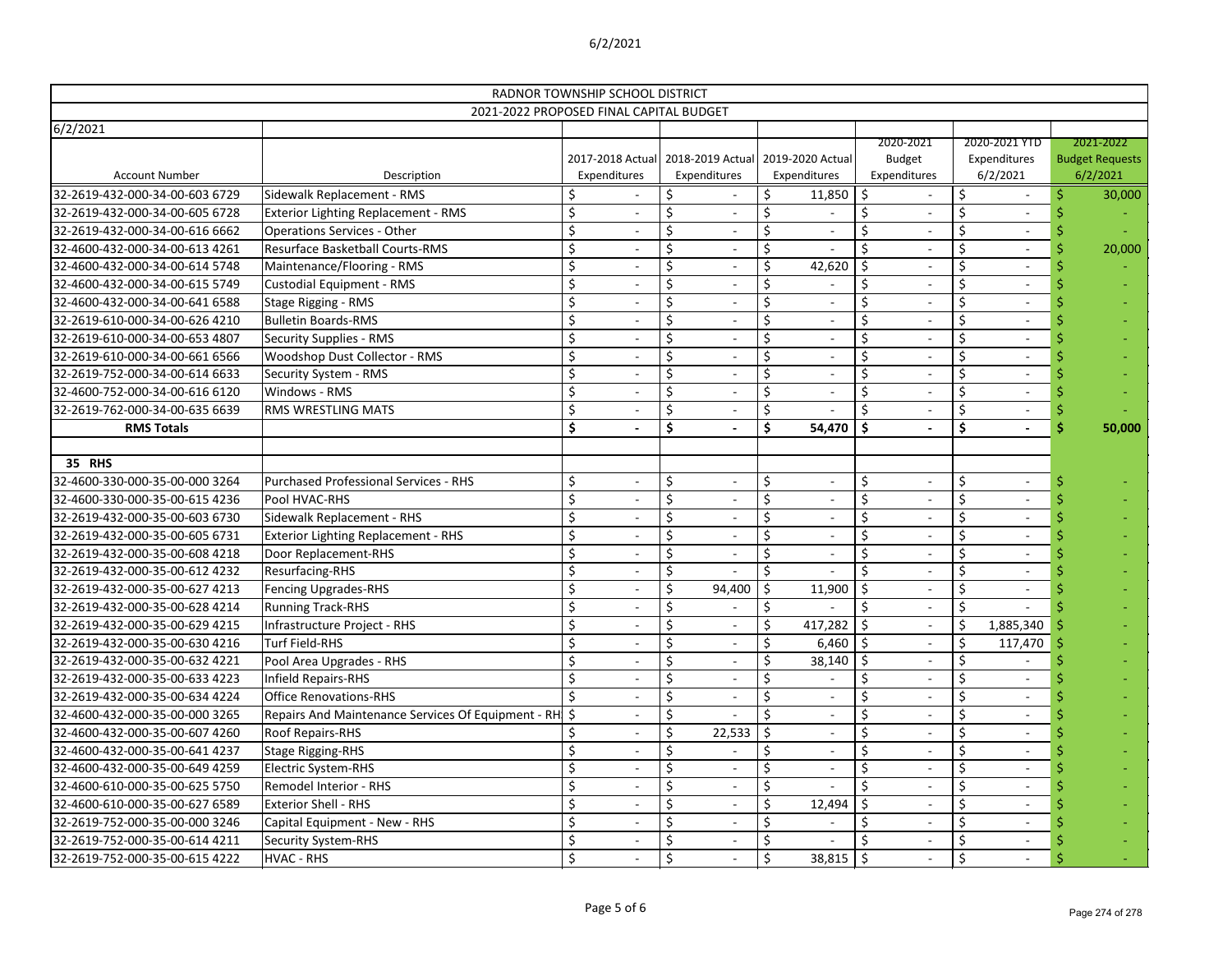|                                   | RADNOR TOWNSHIP SCHOOL DISTRICT                    |                           |                          |    |                                                   |         |                                  |         |                                            |    |                                           |                                                 |
|-----------------------------------|----------------------------------------------------|---------------------------|--------------------------|----|---------------------------------------------------|---------|----------------------------------|---------|--------------------------------------------|----|-------------------------------------------|-------------------------------------------------|
|                                   | 2021-2022 PROPOSED FINAL CAPITAL BUDGET            |                           |                          |    |                                                   |         |                                  |         |                                            |    |                                           |                                                 |
| 6/2/2021<br><b>Account Number</b> | Description                                        | Expenditures              |                          |    | 2017-2018 Actual 2018-2019 Actual<br>Expenditures |         | 2019-2020 Actual<br>Expenditures |         | 2020-2021<br><b>Budget</b><br>Expenditures |    | 2020-2021 YTD<br>Expenditures<br>6/2/2021 | 2021-2022<br><b>Budget Requests</b><br>6/2/2021 |
| 32-2619-432-000-34-00-603 6729    | Sidewalk Replacement - RMS                         |                           |                          | Ŝ  |                                                   | \$      | 11,850                           | -\$     |                                            |    |                                           | 30,000<br>Ś                                     |
| 32-2619-432-000-34-00-605 6728    | <b>Exterior Lighting Replacement - RMS</b>         | $\zeta$                   |                          |    | $\overline{\phantom{a}}$                          | \$      |                                  | \$      |                                            | \$ |                                           |                                                 |
| 32-2619-432-000-34-00-616 6662    | <b>Operations Services - Other</b>                 | \$                        |                          | \$ | $\overline{\phantom{a}}$                          | \$      |                                  | \$      |                                            |    |                                           |                                                 |
| 32-4600-432-000-34-00-613 4261    | <b>Resurface Basketball Courts-RMS</b>             | \$                        |                          | \$ |                                                   | \$      |                                  | \$      |                                            |    |                                           | 20,000                                          |
| 32-4600-432-000-34-00-614 5748    | Maintenance/Flooring - RMS                         | \$                        |                          | \$ |                                                   | \$      | 42,620                           | $\zeta$ |                                            | \$ |                                           |                                                 |
| 32-4600-432-000-34-00-615 5749    | <b>Custodial Equipment - RMS</b>                   | \$                        |                          |    | $\qquad \qquad$                                   | Ś       |                                  | \$      |                                            |    |                                           |                                                 |
| 32-4600-432-000-34-00-641 6588    | Stage Rigging - RMS                                | $\zeta$                   |                          |    | $\overline{a}$                                    | \$      |                                  | \$      |                                            |    | $\overline{\phantom{a}}$                  |                                                 |
| 32-2619-610-000-34-00-626 4210    | <b>Bulletin Boards-RMS</b>                         | $\zeta$                   |                          | \$ | $\overline{\phantom{a}}$                          | \$      |                                  | \$      |                                            |    |                                           |                                                 |
| 32-2619-610-000-34-00-653 4807    | <b>Security Supplies - RMS</b>                     | \$                        |                          | \$ |                                                   | \$      |                                  | \$      |                                            | Ś. |                                           |                                                 |
| 32-2619-610-000-34-00-661 6566    | Woodshop Dust Collector - RMS                      | \$                        |                          | \$ |                                                   | \$      |                                  | \$      |                                            | \$ |                                           |                                                 |
| 32-2619-752-000-34-00-614 6633    | Security System - RMS                              | \$                        |                          |    | $\overline{a}$                                    | Ś       |                                  | \$      |                                            |    | $\overline{\phantom{a}}$                  |                                                 |
| 32-4600-752-000-34-00-616 6120    | Windows - RMS                                      | $\zeta$                   |                          |    | $\overline{a}$                                    | \$      |                                  | \$      |                                            |    | $\overline{\phantom{a}}$                  |                                                 |
| 32-2619-762-000-34-00-635 6639    | <b>RMS WRESTLING MATS</b>                          | $\zeta$                   |                          | \$ | $\overline{\phantom{a}}$                          | \$      |                                  | Ś.      |                                            |    |                                           |                                                 |
| <b>RMS Totals</b>                 |                                                    | \$                        |                          | \$ |                                                   | \$      | 54,470                           | \$      |                                            | \$ |                                           | 50,000                                          |
| <b>35 RHS</b>                     |                                                    |                           |                          |    |                                                   |         |                                  |         |                                            |    |                                           |                                                 |
| 32-4600-330-000-35-00-000 3264    | <b>Purchased Professional Services - RHS</b>       | \$                        |                          | \$ | $\overline{\phantom{a}}$                          | \$      |                                  | \$      |                                            | \$ | $\overline{\phantom{a}}$                  |                                                 |
| 32-4600-330-000-35-00-615 4236    | Pool HVAC-RHS                                      | \$                        |                          | \$ | $\overline{\phantom{a}}$                          | $\zeta$ |                                  | $\zeta$ |                                            | \$ |                                           |                                                 |
| 32-2619-432-000-35-00-603 6730    | Sidewalk Replacement - RHS                         | $\zeta$                   |                          | \$ |                                                   | \$      |                                  | \$      |                                            | Ś. |                                           |                                                 |
| 32-2619-432-000-35-00-605 6731    | <b>Exterior Lighting Replacement - RHS</b>         | $\boldsymbol{\zeta}$      |                          | \$ |                                                   | \$      |                                  | \$      |                                            |    |                                           |                                                 |
| 32-2619-432-000-35-00-608 4218    | Door Replacement-RHS                               | \$                        |                          | \$ | $\overline{a}$                                    | $\zeta$ |                                  | \$      |                                            |    | $\sim$                                    |                                                 |
| 32-2619-432-000-35-00-612 4232    | Resurfacing-RHS                                    | $\zeta$                   |                          |    |                                                   | Ś       |                                  | \$      |                                            |    | $\overline{\phantom{a}}$                  |                                                 |
| 32-2619-432-000-35-00-627 4213    | <b>Fencing Upgrades-RHS</b>                        | $\zeta$                   |                          | \$ | 94,400                                            | \$      | 11,900                           | $\zeta$ |                                            | \$ |                                           |                                                 |
| 32-2619-432-000-35-00-628 4214    | <b>Running Track-RHS</b>                           | \$                        |                          | \$ |                                                   | \$      |                                  | Ś.      |                                            | Ś. |                                           |                                                 |
| 32-2619-432-000-35-00-629 4215    | Infrastructure Project - RHS                       | \$                        |                          | \$ |                                                   | \$      | 417,282                          | \$      |                                            |    | 1,885,340                                 |                                                 |
| 32-2619-432-000-35-00-630 4216    | Turf Field-RHS                                     | Ş                         | $\overline{\phantom{a}}$ | \$ | $\overline{\phantom{a}}$                          | \$      | $6,460$   \$                     |         | $\overline{\phantom{a}}$                   |    | 117,470                                   |                                                 |
| 32-2619-432-000-35-00-632 4221    | Pool Area Upgrades - RHS                           | $\zeta$                   |                          |    | $\overline{\phantom{a}}$                          |         | $38,140$   \$                    |         |                                            |    |                                           |                                                 |
| 32-2619-432-000-35-00-633 4223    | Infield Repairs-RHS                                | \$                        |                          |    | $\overline{\phantom{a}}$                          | Ś.      |                                  |         |                                            |    | $\overline{\phantom{a}}$                  |                                                 |
| 32-2619-432-000-35-00-634 4224    | <b>Office Renovations-RHS</b>                      |                           |                          |    |                                                   |         |                                  |         |                                            |    |                                           |                                                 |
| 32-4600-432-000-35-00-000 3265    | Repairs And Maintenance Services Of Equipment - RH |                           |                          |    |                                                   |         |                                  |         |                                            |    |                                           |                                                 |
| 32-4600-432-000-35-00-607 4260    | Roof Repairs-RHS                                   |                           |                          |    | 22,533                                            | -\$     |                                  |         |                                            |    | $\overline{\phantom{a}}$                  |                                                 |
| 32-4600-432-000-35-00-641 4237    | <b>Stage Rigging-RHS</b>                           | $\zeta$                   |                          |    |                                                   |         |                                  |         |                                            |    | $\overline{\phantom{a}}$                  |                                                 |
| 32-4600-432-000-35-00-649 4259    | <b>Electric System-RHS</b>                         | \$                        |                          |    | $\overline{\phantom{a}}$                          | S       |                                  |         |                                            |    | $\overline{\phantom{a}}$                  |                                                 |
| 32-4600-610-000-35-00-625 5750    | Remodel Interior - RHS                             |                           |                          |    |                                                   |         |                                  |         |                                            |    |                                           |                                                 |
| 32-4600-610-000-35-00-627 6589    | <b>Exterior Shell - RHS</b>                        | \$                        |                          |    |                                                   | S,      | 12,494                           |         |                                            |    |                                           |                                                 |
| 32-2619-752-000-35-00-000 3246    | Capital Equipment - New - RHS                      | \$                        |                          |    | $\qquad \qquad$                                   |         |                                  |         |                                            |    | $\overline{\phantom{a}}$                  |                                                 |
| 32-2619-752-000-35-00-614 4211    | <b>Security System-RHS</b>                         | $\boldsymbol{\mathsf{S}}$ |                          |    | $\overline{\phantom{a}}$                          | \$      |                                  | \$      |                                            |    | $\sim$                                    |                                                 |
| 32-2619-752-000-35-00-615 4222    | HVAC - RHS                                         | \$                        |                          | \$ | $\overline{\phantom{a}}$                          | \$      | $38,815$ \$                      |         |                                            | \$ |                                           |                                                 |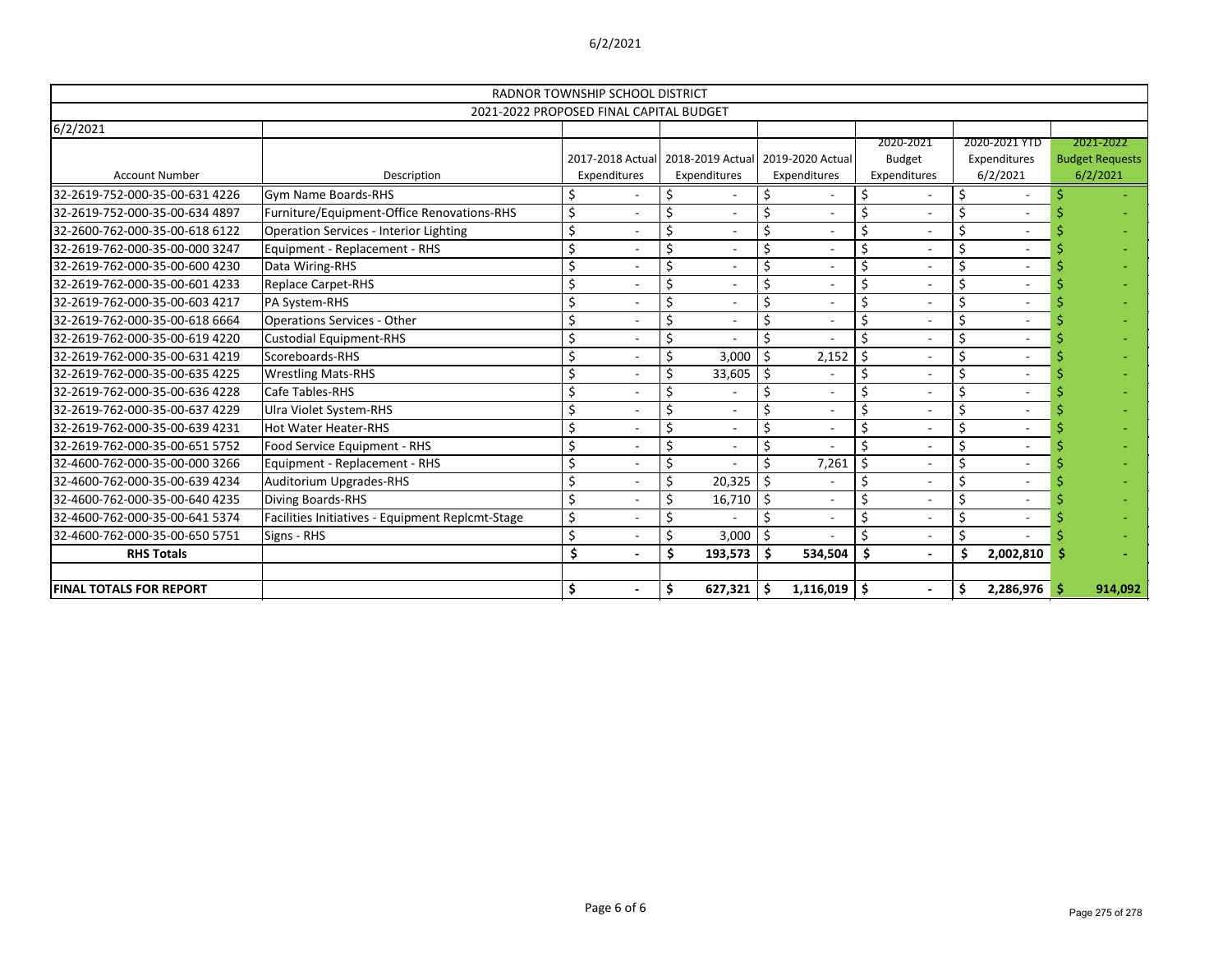|                                |                                                  | RADNOR TOWNSHIP SCHOOL DISTRICT |                |    |                                                   |         |                                  |         |                               |    |                          |   |                                    |
|--------------------------------|--------------------------------------------------|---------------------------------|----------------|----|---------------------------------------------------|---------|----------------------------------|---------|-------------------------------|----|--------------------------|---|------------------------------------|
|                                | 2021-2022 PROPOSED FINAL CAPITAL BUDGET          |                                 |                |    |                                                   |         |                                  |         |                               |    |                          |   |                                    |
| 6/2/2021                       |                                                  |                                 |                |    |                                                   |         |                                  |         |                               |    |                          |   |                                    |
|                                |                                                  |                                 |                |    |                                                   |         |                                  |         | 2020-2021                     |    | 2020-2021 YTD            |   | 2021-2022                          |
| <b>Account Number</b>          | Description                                      |                                 | Expenditures   |    | 2017-2018 Actual 2018-2019 Actual<br>Expenditures |         | 2019-2020 Actual<br>Expenditures |         | <b>Budget</b><br>Expenditures |    | Expenditures<br>6/2/2021 |   | <b>Budget Requests</b><br>6/2/2021 |
|                                |                                                  |                                 |                |    |                                                   |         |                                  |         |                               |    |                          |   |                                    |
| 32-2619-752-000-35-00-631 4226 | <b>Gym Name Boards-RHS</b>                       | \$                              |                | \$ |                                                   | \$      |                                  | \$      |                               | \$ |                          |   |                                    |
| 32-2619-752-000-35-00-634 4897 | Furniture/Equipment-Office Renovations-RHS       | $\zeta$                         | $\overline{a}$ | Ś  | $\blacksquare$                                    | Ś.      |                                  | \$      |                               |    | $\overline{\phantom{a}}$ |   |                                    |
| 32-2600-762-000-35-00-618 6122 | <b>Operation Services - Interior Lighting</b>    | $\zeta$                         |                | \$ |                                                   | \$      |                                  | \$      |                               | Ś. |                          |   |                                    |
| 32-2619-762-000-35-00-000 3247 | Equipment - Replacement - RHS                    | \$                              |                | \$ |                                                   |         |                                  | \$      |                               |    |                          |   |                                    |
| 32-2619-762-000-35-00-600 4230 | Data Wiring-RHS                                  | $\boldsymbol{\zeta}$            |                | \$ |                                                   | Ś       |                                  | \$      |                               |    |                          |   |                                    |
| 32-2619-762-000-35-00-601 4233 | <b>Replace Carpet-RHS</b>                        | \$                              |                | \$ |                                                   | S       |                                  | \$      |                               |    |                          |   |                                    |
| 32-2619-762-000-35-00-603 4217 | PA System-RHS                                    | \$                              |                | \$ |                                                   | \$      |                                  | \$      |                               | \$ |                          |   |                                    |
| 32-2619-762-000-35-00-618 6664 | <b>Operations Services - Other</b>               | \$                              |                | \$ | $\qquad \qquad$                                   | Ś       |                                  | \$      |                               | Ś. |                          |   |                                    |
| 32-2619-762-000-35-00-619 4220 | <b>Custodial Equipment-RHS</b>                   | \$                              |                | \$ |                                                   | $\zeta$ |                                  | Ś.      |                               | Ś. | $\overline{\phantom{a}}$ |   |                                    |
| 32-2619-762-000-35-00-631 4219 | Scoreboards-RHS                                  | $\zeta$                         |                | \$ | 3,000                                             | $\zeta$ | 2,152                            |         |                               |    |                          |   |                                    |
| 32-2619-762-000-35-00-635 4225 | <b>Wrestling Mats-RHS</b>                        | $\zeta$                         |                | Ś  | 33,605                                            | \$      |                                  | \$      |                               |    |                          |   |                                    |
| 32-2619-762-000-35-00-636 4228 | Cafe Tables-RHS                                  | \$                              |                | \$ |                                                   |         |                                  | \$      |                               |    |                          |   |                                    |
| 32-2619-762-000-35-00-637 4229 | Ulra Violet System-RHS                           | \$                              |                | \$ | $\overline{a}$                                    | Ś       |                                  | \$      |                               |    |                          |   |                                    |
| 32-2619-762-000-35-00-639 4231 | <b>Hot Water Heater-RHS</b>                      | \$                              |                | \$ | $\overline{\phantom{a}}$                          | \$      |                                  | \$      |                               |    |                          |   |                                    |
| 32-2619-762-000-35-00-651 5752 | Food Service Equipment - RHS                     | $\zeta$                         |                | \$ | $\blacksquare$                                    | $\zeta$ |                                  | Ś       |                               |    | $\overline{\phantom{a}}$ |   |                                    |
| 32-4600-762-000-35-00-000 3266 | Equipment - Replacement - RHS                    | \$                              |                | \$ |                                                   | Ś.      | 7,261                            | $\zeta$ |                               | Ś. | $\overline{\phantom{a}}$ |   |                                    |
| 32-4600-762-000-35-00-639 4234 | Auditorium Upgrades-RHS                          | \$                              |                | \$ | 20,325                                            | $\zeta$ |                                  | \$      |                               |    |                          |   |                                    |
| 32-4600-762-000-35-00-640 4235 | Diving Boards-RHS                                | $\zeta$                         |                | \$ | 16,710                                            | \$      |                                  | \$      |                               | \$ |                          |   |                                    |
| 32-4600-762-000-35-00-641 5374 | Facilities Initiatives - Equipment Replcmt-Stage | $\boldsymbol{\zeta}$            |                | \$ |                                                   |         |                                  | \$      |                               | \$ |                          |   |                                    |
| 32-4600-762-000-35-00-650 5751 | Signs - RHS                                      | $\zeta$                         |                | \$ | 3,000                                             | $\zeta$ |                                  | Ś       |                               | Ś. |                          |   |                                    |
| <b>RHS Totals</b>              |                                                  | Ś                               |                | \$ | 193,573                                           | -S      | 534,504                          | \$      |                               | Ś  | 2,002,810                |   |                                    |
|                                |                                                  |                                 |                |    |                                                   |         |                                  |         |                               |    |                          |   |                                    |
| <b>FINAL TOTALS FOR REPORT</b> |                                                  | \$                              |                | \$ | $627,321$ \$                                      |         | $1,116,019$ \$                   |         | $\blacksquare$                | \$ | 2,286,976                | Ŝ | 914,092                            |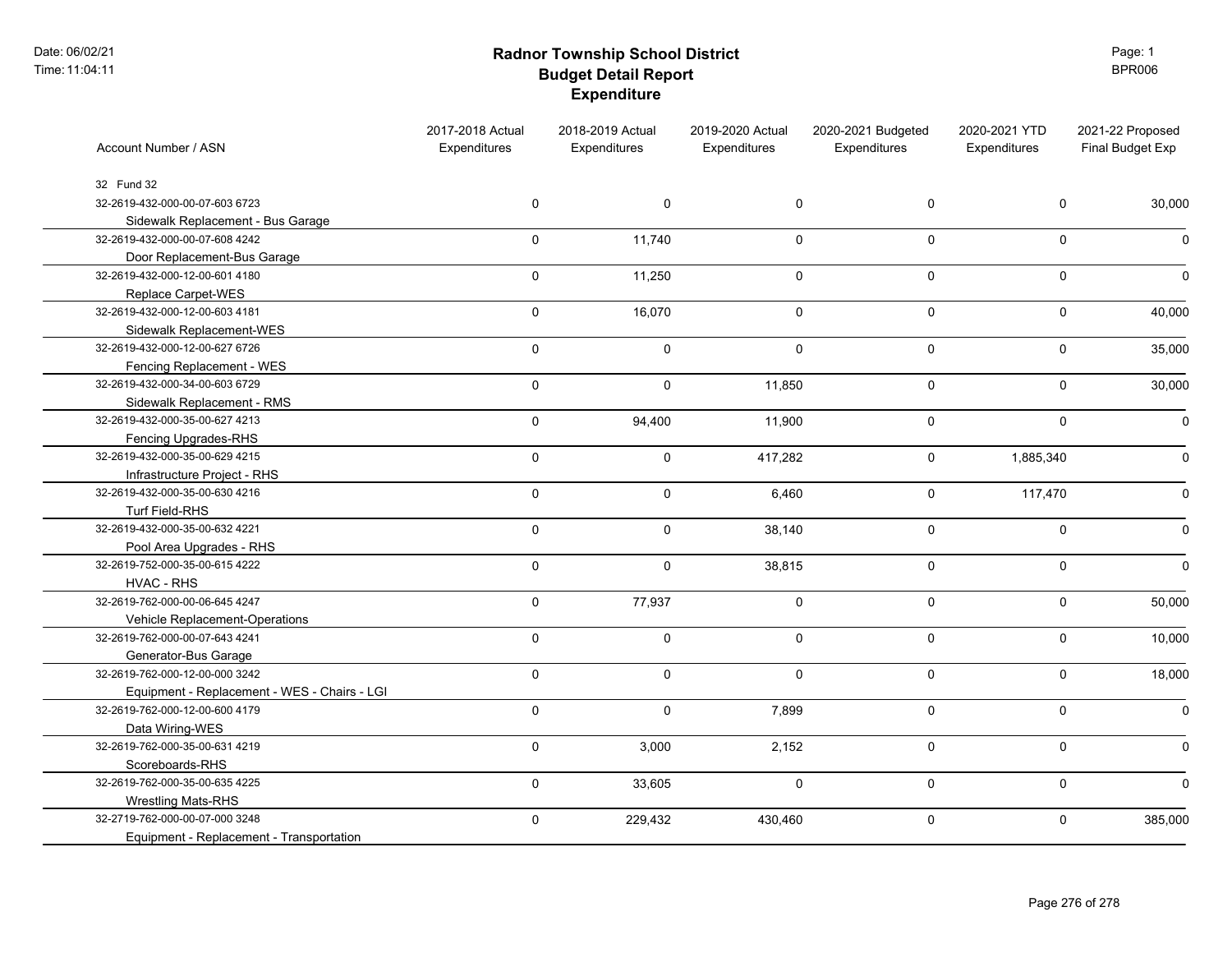Date: 06/02/21 Time:11:04:11

### **Radnor Township School District Budget Detail Report Expenditure**

Page: 1 BPR006

| Account Number / ASN                         | 2017-2018 Actual<br>Expenditures | 2018-2019 Actual<br>Expenditures | 2019-2020 Actual<br>Expenditures | 2020-2021 Budgeted<br>Expenditures | 2020-2021 YTD<br>Expenditures | 2021-22 Proposed<br>Final Budget Exp |
|----------------------------------------------|----------------------------------|----------------------------------|----------------------------------|------------------------------------|-------------------------------|--------------------------------------|
| 32 Fund 32                                   |                                  |                                  |                                  |                                    |                               |                                      |
| 32-2619-432-000-00-07-603 6723               | 0                                | $\pmb{0}$                        | $\mathbf 0$                      | 0                                  | $\mathsf 0$                   | 30,000                               |
| Sidewalk Replacement - Bus Garage            |                                  |                                  |                                  |                                    |                               |                                      |
| 32-2619-432-000-00-07-608 4242               | 0                                | 11,740                           | $\mathsf{O}\xspace$              | $\mathbf 0$                        | $\mathbf 0$                   |                                      |
| Door Replacement-Bus Garage                  |                                  |                                  |                                  |                                    |                               |                                      |
| 32-2619-432-000-12-00-601 4180               | $\mathbf 0$                      | 11,250                           | $\mathsf{O}\xspace$              | $\mathbf 0$                        | $\mathsf{O}$                  |                                      |
| Replace Carpet-WES                           |                                  |                                  |                                  |                                    |                               |                                      |
| 32-2619-432-000-12-00-603 4181               | $\mathbf 0$                      | 16,070                           | $\mathbf 0$                      | $\mathbf 0$                        | $\mathsf{O}$                  | 40,000                               |
| Sidewalk Replacement-WES                     |                                  |                                  |                                  |                                    |                               |                                      |
| 32-2619-432-000-12-00-627 6726               | $\mathbf 0$                      | $\pmb{0}$                        | $\mathbf 0$                      | $\mathbf 0$                        | $\mathsf{O}$                  | 35,000                               |
| Fencing Replacement - WES                    |                                  |                                  |                                  |                                    |                               |                                      |
| 32-2619-432-000-34-00-603 6729               | $\mathbf 0$                      | $\pmb{0}$                        | 11,850                           | $\mathbf 0$                        | $\mathbf 0$                   | 30,000                               |
| Sidewalk Replacement - RMS                   |                                  |                                  |                                  |                                    |                               |                                      |
| 32-2619-432-000-35-00-627 4213               | $\mathbf 0$                      | 94,400                           | 11,900                           | $\Omega$                           | $\mathbf 0$                   |                                      |
| Fencing Upgrades-RHS                         |                                  |                                  |                                  |                                    |                               |                                      |
| 32-2619-432-000-35-00-629 4215               | $\mathbf 0$                      | $\mathbf 0$                      | 417,282                          | 0                                  | 1,885,340                     |                                      |
| Infrastructure Project - RHS                 |                                  |                                  |                                  |                                    |                               |                                      |
| 32-2619-432-000-35-00-630 4216               | 0                                | $\pmb{0}$                        | 6,460                            | $\mathbf 0$                        | 117,470                       |                                      |
| Turf Field-RHS                               |                                  |                                  |                                  |                                    |                               |                                      |
| 32-2619-432-000-35-00-632 4221               | $\mathbf 0$                      | $\pmb{0}$                        | 38,140                           | $\mathbf 0$                        | $\pmb{0}$                     |                                      |
| Pool Area Upgrades - RHS                     |                                  |                                  |                                  |                                    |                               |                                      |
| 32-2619-752-000-35-00-615 4222               | $\pmb{0}$                        | $\pmb{0}$                        | 38,815                           | $\mathbf 0$                        | $\mathsf{O}$                  |                                      |
| HVAC - RHS                                   |                                  |                                  |                                  |                                    |                               |                                      |
| 32-2619-762-000-00-06-645 4247               | $\mathbf 0$                      | 77,937                           | $\pmb{0}$                        | $\mathbf 0$                        | $\mathsf{O}$                  | 50,000                               |
| Vehicle Replacement-Operations               |                                  |                                  |                                  |                                    |                               |                                      |
| 32-2619-762-000-00-07-643 4241               | $\mathsf 0$                      | $\pmb{0}$                        | $\pmb{0}$                        | $\mathbf 0$                        | $\mathbf 0$                   | 10,000                               |
| Generator-Bus Garage                         |                                  |                                  |                                  |                                    |                               |                                      |
| 32-2619-762-000-12-00-000 3242               | $\Omega$                         | $\mathbf 0$                      | $\Omega$                         | $\Omega$                           | $\mathbf 0$                   | 18,000                               |
| Equipment - Replacement - WES - Chairs - LGI |                                  |                                  |                                  |                                    |                               |                                      |
| 32-2619-762-000-12-00-600 4179               | $\mathbf 0$                      | $\mathbf 0$                      | 7,899                            | 0                                  | $\mathbf 0$                   |                                      |
| Data Wiring-WES                              |                                  |                                  |                                  |                                    |                               |                                      |
| 32-2619-762-000-35-00-631 4219               | 0                                | 3,000                            | 2,152                            | $\mathbf 0$                        | $\mathbf 0$                   |                                      |
| Scoreboards-RHS                              |                                  |                                  |                                  |                                    |                               |                                      |
| 32-2619-762-000-35-00-635 4225               | $\mathbf 0$                      | 33,605                           | $\mathbf 0$                      | $\mathbf 0$                        | $\mathbf 0$                   |                                      |
| <b>Wrestling Mats-RHS</b>                    |                                  |                                  |                                  |                                    |                               |                                      |
| 32-2719-762-000-00-07-000 3248               | $\mathbf 0$                      | 229,432                          | 430,460                          | $\mathsf 0$                        | $\mathbf 0$                   | 385,000                              |
| Equipment - Replacement - Transportation     |                                  |                                  |                                  |                                    |                               |                                      |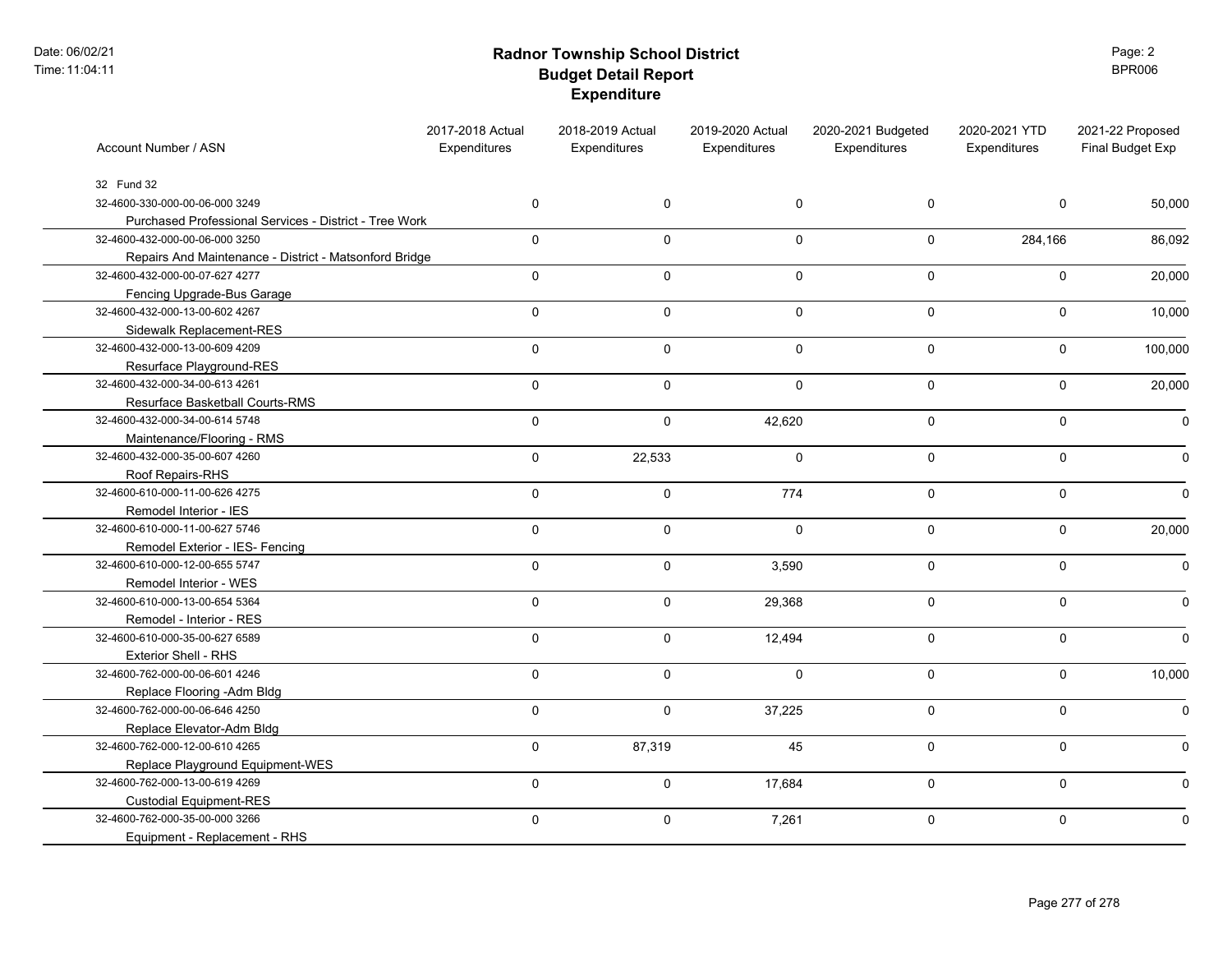Date: 06/02/21 Time:11:04:11

### **Radnor Township School District Budget Detail Report Expenditure**

Page: 2 BPR006

| Account Number / ASN                                   | 2017-2018 Actual<br>Expenditures | 2018-2019 Actual<br>Expenditures | 2019-2020 Actual<br>Expenditures | 2020-2021 Budgeted<br>Expenditures | 2020-2021 YTD<br>Expenditures | 2021-22 Proposed<br>Final Budget Exp |
|--------------------------------------------------------|----------------------------------|----------------------------------|----------------------------------|------------------------------------|-------------------------------|--------------------------------------|
| 32 Fund 32                                             |                                  |                                  |                                  |                                    |                               |                                      |
| 32-4600-330-000-00-06-000 3249                         | $\mathbf 0$                      | $\mathbf 0$                      | 0                                | 0                                  | $\Omega$                      | 50,000                               |
| Purchased Professional Services - District - Tree Work |                                  |                                  |                                  |                                    |                               |                                      |
| 32-4600-432-000-00-06-000 3250                         | $\mathbf 0$                      | $\Omega$                         | $\mathbf 0$                      | 0                                  | 284,166                       | 86,092                               |
| Repairs And Maintenance - District - Matsonford Bridge |                                  |                                  |                                  |                                    |                               |                                      |
| 32-4600-432-000-00-07-627 4277                         | $\mathsf{O}\xspace$              | $\mathbf 0$                      | 0                                | $\mathsf{O}\phantom{0}$            | $\mathbf 0$                   | 20,000                               |
| Fencing Upgrade-Bus Garage                             |                                  |                                  |                                  |                                    |                               |                                      |
| 32-4600-432-000-13-00-602 4267                         | $\mathsf 0$                      | $\mathbf 0$                      | $\mathbf 0$                      | $\pmb{0}$                          | $\mathbf 0$                   | 10,000                               |
| Sidewalk Replacement-RES                               |                                  |                                  |                                  |                                    |                               |                                      |
| 32-4600-432-000-13-00-609 4209                         | $\mathsf 0$                      | $\mathbf 0$                      | $\mathbf 0$                      | $\mathsf 0$                        | $\mathbf 0$                   | 100,000                              |
| Resurface Playground-RES                               |                                  |                                  |                                  |                                    |                               |                                      |
| 32-4600-432-000-34-00-613 4261                         | $\mathsf 0$                      | $\mathbf 0$                      | $\mathbf 0$                      | $\pmb{0}$                          | $\mathbf 0$                   | 20,000                               |
| Resurface Basketball Courts-RMS                        |                                  |                                  |                                  |                                    |                               |                                      |
| 32-4600-432-000-34-00-614 5748                         | $\mathbf 0$                      | $\Omega$                         | 42,620                           | $\mathbf 0$                        | $\Omega$                      |                                      |
| Maintenance/Flooring - RMS                             |                                  |                                  |                                  |                                    |                               |                                      |
| 32-4600-432-000-35-00-607 4260                         | $\mathbf 0$                      | 22,533                           | $\mathbf 0$                      | $\mathbf 0$                        | $\Omega$                      |                                      |
| Roof Repairs-RHS                                       |                                  |                                  |                                  |                                    |                               |                                      |
| 32-4600-610-000-11-00-626 4275                         | $\mathbf 0$                      | $\mathbf 0$                      | 774                              | 0                                  | $\mathbf 0$                   |                                      |
| Remodel Interior - IES                                 |                                  |                                  |                                  |                                    |                               |                                      |
| 32-4600-610-000-11-00-627 5746                         | $\mathbf 0$                      | $\mathbf 0$                      | $\mathbf 0$                      | $\mathsf{O}\phantom{0}$            | $\mathbf 0$                   | 20,000                               |
| Remodel Exterior - IES- Fencing                        |                                  |                                  |                                  |                                    |                               |                                      |
| 32-4600-610-000-12-00-655 5747                         | $\mathsf 0$                      | $\mathbf 0$                      | 3,590                            | $\mathsf 0$                        | $\mathbf 0$                   | O                                    |
| Remodel Interior - WES                                 |                                  |                                  |                                  |                                    |                               |                                      |
| 32-4600-610-000-13-00-654 5364                         | $\pmb{0}$                        | $\mathbf 0$                      | 29,368                           | $\pmb{0}$                          | $\mathbf 0$                   |                                      |
| Remodel - Interior - RES                               |                                  |                                  |                                  |                                    |                               |                                      |
| 32-4600-610-000-35-00-627 6589                         | $\mathsf 0$                      | $\mathbf 0$                      | 12,494                           | $\pmb{0}$                          | $\mathbf 0$                   |                                      |
| Exterior Shell - RHS                                   |                                  |                                  |                                  |                                    |                               |                                      |
| 32-4600-762-000-00-06-601 4246                         | $\mathbf{0}$                     | $\Omega$                         | $\Omega$                         | $\mathbf 0$                        | $\Omega$                      | 10,000                               |
| Replace Flooring -Adm Bldg                             |                                  |                                  |                                  |                                    |                               |                                      |
| 32-4600-762-000-00-06-646 4250                         | $\mathbf 0$                      | $\Omega$                         | 37,225                           | $\mathsf 0$                        | $\Omega$                      |                                      |
| Replace Elevator-Adm Bldg                              |                                  |                                  |                                  |                                    |                               |                                      |
| 32-4600-762-000-12-00-610 4265                         | $\mathbf 0$                      | 87,319                           | 45                               | 0                                  | $\mathbf 0$                   |                                      |
| Replace Playground Equipment-WES                       |                                  |                                  |                                  |                                    |                               |                                      |
| 32-4600-762-000-13-00-619 4269                         | $\mathbf 0$                      | $\mathsf{O}\xspace$              | 17,684                           | $\mathsf{O}$                       | $\mathbf 0$                   |                                      |
| <b>Custodial Equipment-RES</b>                         |                                  |                                  |                                  |                                    |                               |                                      |
| 32-4600-762-000-35-00-000 3266                         | $\mathbf 0$                      | 0                                | 7,261                            | $\pmb{0}$                          | $\mathbf 0$                   |                                      |
| Equipment - Replacement - RHS                          |                                  |                                  |                                  |                                    |                               |                                      |